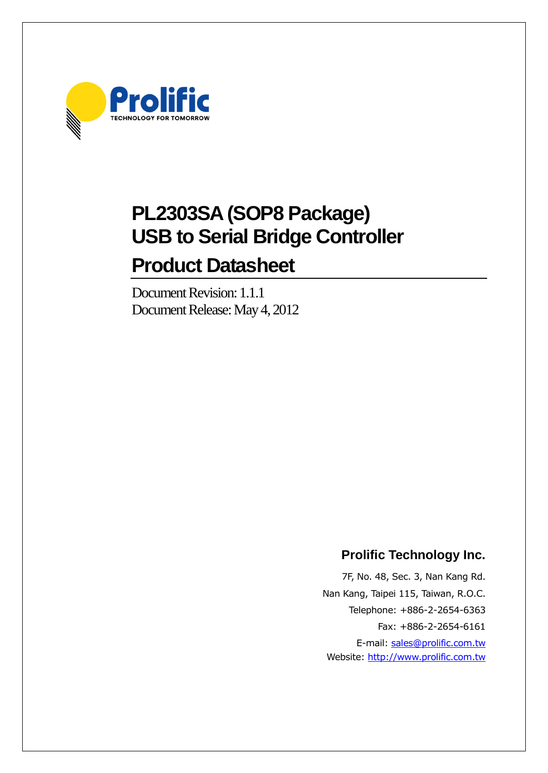

# **PL2303SA (SOP8 Package) USB to Serial Bridge Controller Product Datasheet**

# Document Revision: 1.1.1 Document Release: May 4, 2012

# **Prolific Technology Inc.**

7F, No. 48, Sec. 3, Nan Kang Rd. Nan Kang, Taipei 115, Taiwan, R.O.C. Telephone: +886-2-2654-6363 Fax: +886-2-2654-6161 E-mail: [sales@prolific.com.tw](mailto:sales@prolific.com.tw) Website: [http://www.prolific.com.tw](http://www.prolific.com.tw/)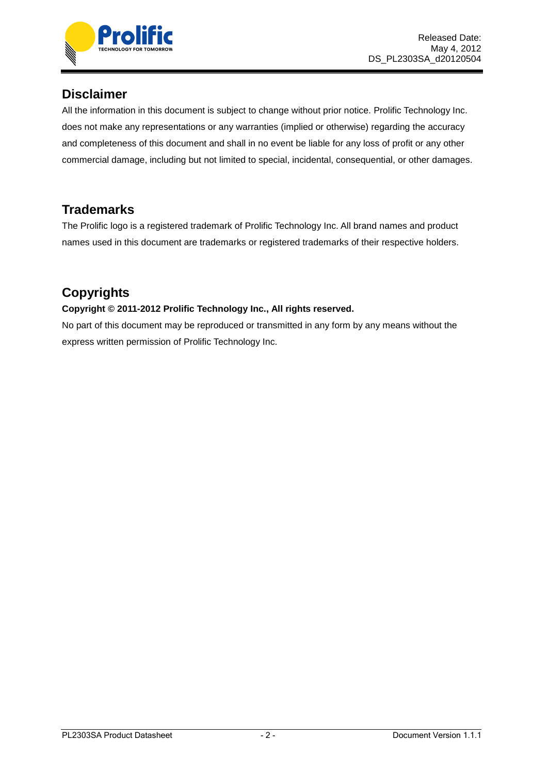

### **Disclaimer**

All the information in this document is subject to change without prior notice. Prolific Technology Inc. does not make any representations or any warranties (implied or otherwise) regarding the accuracy and completeness of this document and shall in no event be liable for any loss of profit or any other commercial damage, including but not limited to special, incidental, consequential, or other damages.

# **Trademarks**

The Prolific logo is a registered trademark of Prolific Technology Inc. All brand names and product names used in this document are trademarks or registered trademarks of their respective holders.

# **Copyrights**

#### **Copyright © 2011-2012 Prolific Technology Inc., All rights reserved.**

No part of this document may be reproduced or transmitted in any form by any means without the express written permission of Prolific Technology Inc.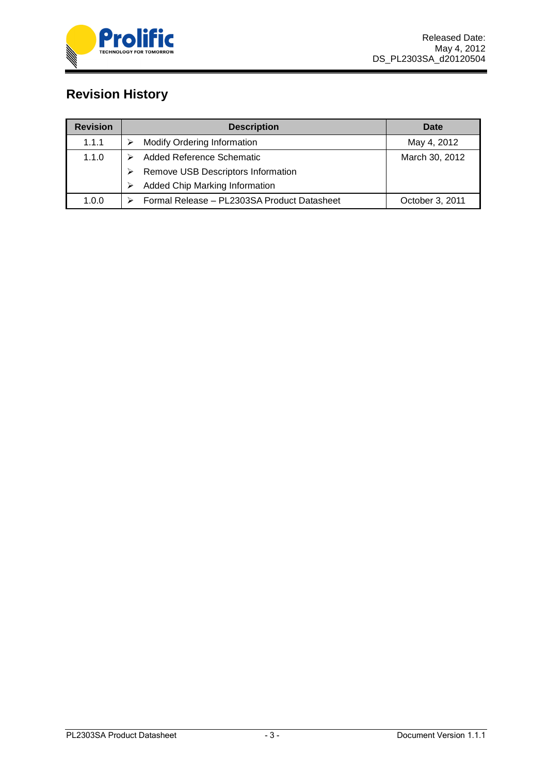

# **Revision History**

| <b>Revision</b> | <b>Description</b>                          | Date            |
|-----------------|---------------------------------------------|-----------------|
| 1.1.1           | <b>Modify Ordering Information</b>          | May 4, 2012     |
| 1.1.0           | Added Reference Schematic                   | March 30, 2012  |
|                 | Remove USB Descriptors Information          |                 |
|                 | Added Chip Marking Information              |                 |
| 1.0.0           | Formal Release - PL2303SA Product Datasheet | October 3, 2011 |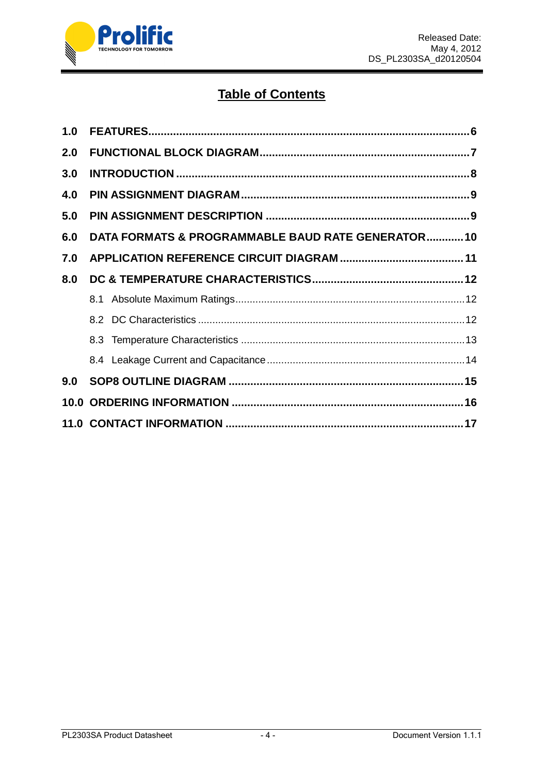

# **Table of Contents**

| 1.0 |                                                    |  |
|-----|----------------------------------------------------|--|
| 2.0 |                                                    |  |
| 3.0 |                                                    |  |
| 4.0 |                                                    |  |
| 5.0 |                                                    |  |
| 6.0 | DATA FORMATS & PROGRAMMABLE BAUD RATE GENERATOR 10 |  |
| 7.0 |                                                    |  |
| 8.0 |                                                    |  |
|     |                                                    |  |
|     |                                                    |  |
|     |                                                    |  |
|     |                                                    |  |
| 9.0 |                                                    |  |
|     |                                                    |  |
|     |                                                    |  |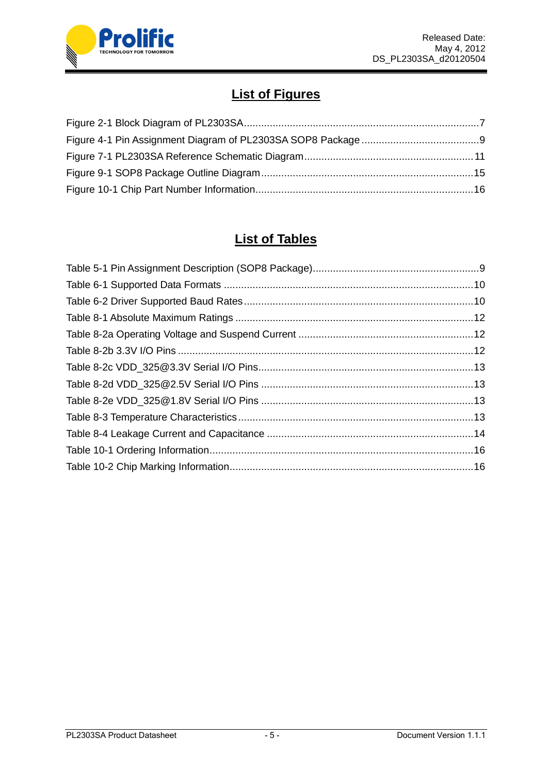

# **List of Figures**

# **List of Tables**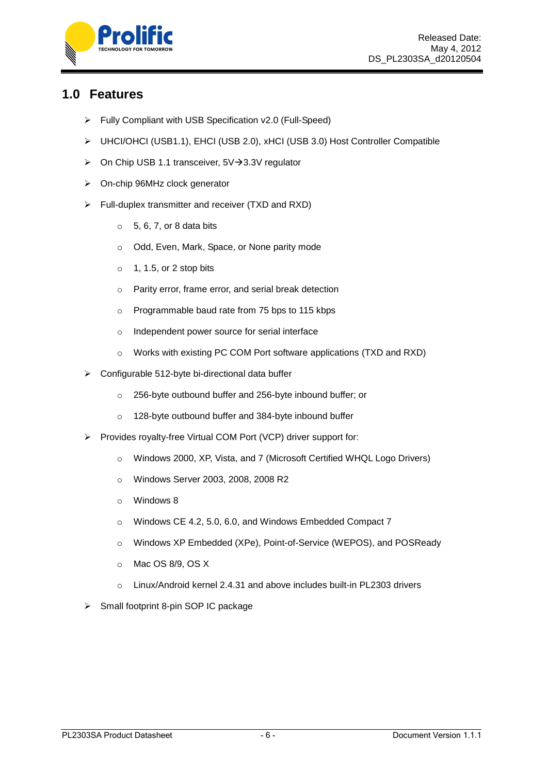

### <span id="page-5-0"></span>**1.0 Features**

- Fully Compliant with USB Specification v2.0 (Full-Speed)
- UHCI/OHCI (USB1.1), EHCI (USB 2.0), xHCI (USB 3.0) Host Controller Compatible
- $\triangleright$  On Chip USB 1.1 transceiver, 5V $\rightarrow$  3.3V regulator
- On-chip 96MHz clock generator
- $\triangleright$  Full-duplex transmitter and receiver (TXD and RXD)
	- $\circ$  5, 6, 7, or 8 data bits
	- o Odd, Even, Mark, Space, or None parity mode
	- $\circ$  1, 1.5, or 2 stop bits
	- o Parity error, frame error, and serial break detection
	- o Programmable baud rate from 75 bps to 115 kbps
	- o Independent power source for serial interface
	- o Works with existing PC COM Port software applications (TXD and RXD)
- $\triangleright$  Configurable 512-byte bi-directional data buffer
	- o 256-byte outbound buffer and 256-byte inbound buffer; or
	- o 128-byte outbound buffer and 384-byte inbound buffer
- Provides royalty-free Virtual COM Port (VCP) driver support for:
	- o Windows 2000, XP, Vista, and 7 (Microsoft Certified WHQL Logo Drivers)
	- o Windows Server 2003, 2008, 2008 R2
	- o Windows 8
	- o Windows CE 4.2, 5.0, 6.0, and Windows Embedded Compact 7
	- o Windows XP Embedded (XPe), Point-of-Service (WEPOS), and POSReady
	- o Mac OS 8/9, OS X
	- o Linux/Android kernel 2.4.31 and above includes built-in PL2303 drivers
- $\triangleright$  Small footprint 8-pin SOP IC package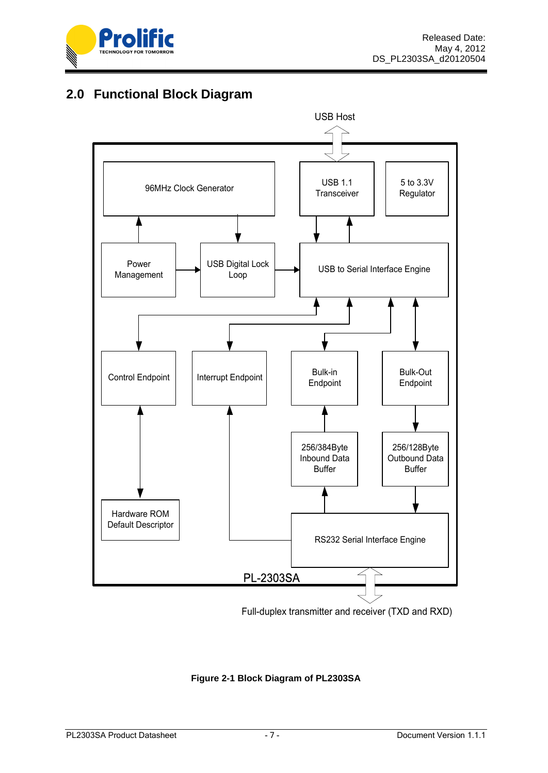

# <span id="page-6-0"></span>**2.0 Functional Block Diagram**



Full-duplex transmitter and receiver (TXD and RXD)

#### <span id="page-6-1"></span>**Figure 2-1 Block Diagram of PL2303SA**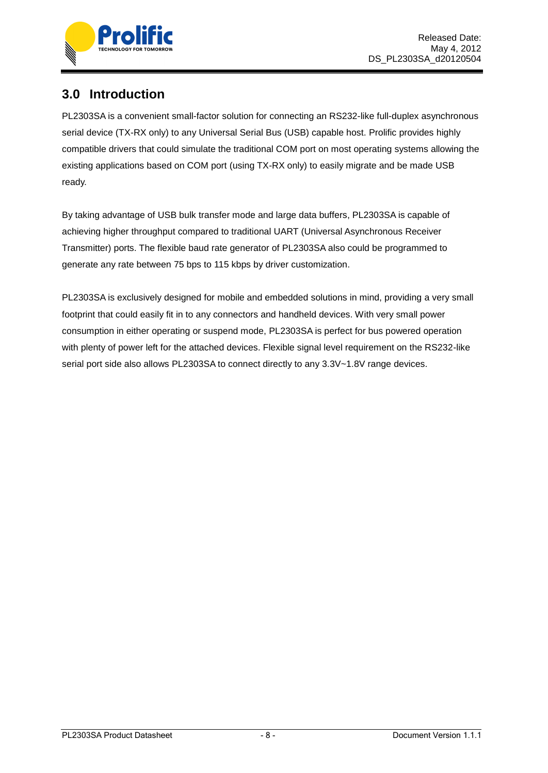

# <span id="page-7-0"></span>**3.0 Introduction**

PL2303SA is a convenient small-factor solution for connecting an RS232-like full-duplex asynchronous serial device (TX-RX only) to any Universal Serial Bus (USB) capable host. Prolific provides highly compatible drivers that could simulate the traditional COM port on most operating systems allowing the existing applications based on COM port (using TX-RX only) to easily migrate and be made USB ready.

By taking advantage of USB bulk transfer mode and large data buffers, PL2303SA is capable of achieving higher throughput compared to traditional UART (Universal Asynchronous Receiver Transmitter) ports. The flexible baud rate generator of PL2303SA also could be programmed to generate any rate between 75 bps to 115 kbps by driver customization.

PL2303SA is exclusively designed for mobile and embedded solutions in mind, providing a very small footprint that could easily fit in to any connectors and handheld devices. With very small power consumption in either operating or suspend mode, PL2303SA is perfect for bus powered operation with plenty of power left for the attached devices. Flexible signal level requirement on the RS232-like serial port side also allows PL2303SA to connect directly to any 3.3V~1.8V range devices.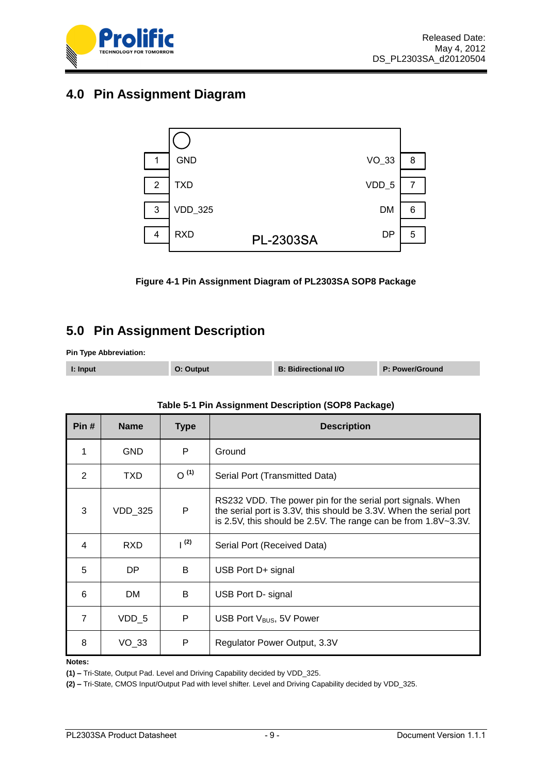

## <span id="page-8-0"></span>**4.0 Pin Assignment Diagram**



**Figure 4-1 Pin Assignment Diagram of PL2303SA SOP8 Package**

# <span id="page-8-2"></span><span id="page-8-1"></span>**5.0 Pin Assignment Description**

**Pin Type Abbreviation:** 

| I: Input | O: Output | <b>B: Bidirectional I/O</b> | P: Power/Ground |
|----------|-----------|-----------------------------|-----------------|
|          |           |                             |                 |

<span id="page-8-3"></span>

| Pin#           | <b>Name</b> | <b>Type</b> | <b>Description</b>                                                                                                                                                                                 |  |
|----------------|-------------|-------------|----------------------------------------------------------------------------------------------------------------------------------------------------------------------------------------------------|--|
| 1              | <b>GND</b>  | P           | Ground                                                                                                                                                                                             |  |
| $\overline{2}$ | TXD         | $O^{(1)}$   | Serial Port (Transmitted Data)                                                                                                                                                                     |  |
| 3              | VDD_325     | P           | RS232 VDD. The power pin for the serial port signals. When<br>the serial port is 3.3V, this should be 3.3V. When the serial port<br>is 2.5V, this should be 2.5V. The range can be from 1.8V~3.3V. |  |
| 4              | <b>RXD</b>  | (2)         | Serial Port (Received Data)                                                                                                                                                                        |  |
| 5              | DP.         | B           | USB Port D+ signal                                                                                                                                                                                 |  |
| 6              | <b>DM</b>   | B           | USB Port D- signal                                                                                                                                                                                 |  |
| 7              | $VDD_5$     | P           | USB Port V <sub>BUS</sub> , 5V Power                                                                                                                                                               |  |
| 8              | $VO_33$     | P           | Regulator Power Output, 3.3V                                                                                                                                                                       |  |

#### **Table 5-1 Pin Assignment Description (SOP8 Package)**

#### **Notes:**

**(1) –** Tri-State, Output Pad. Level and Driving Capability decided by VDD\_325.

**(2) –** Tri-State, CMOS Input/Output Pad with level shifter. Level and Driving Capability decided by VDD\_325.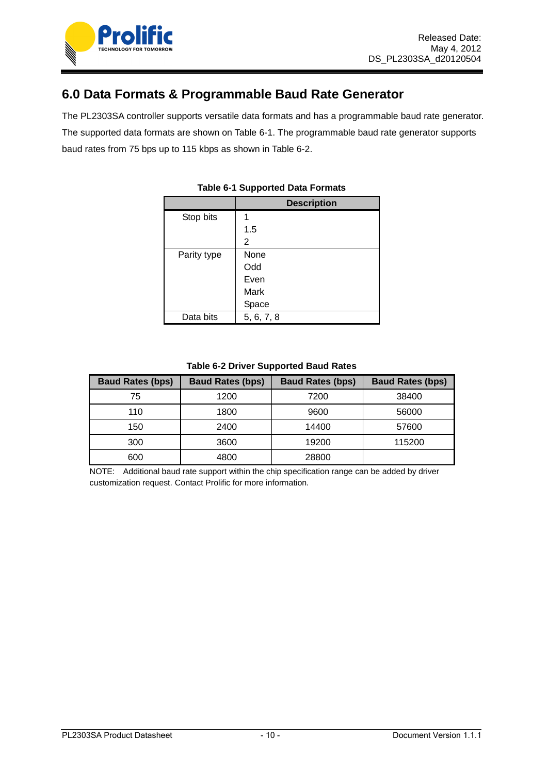

## <span id="page-9-0"></span>**6.0 Data Formats & Programmable Baud Rate Generator**

<span id="page-9-1"></span>The PL2303SA controller supports versatile data formats and has a programmable baud rate generator. The supported data formats are shown on Table 6-1. The programmable baud rate generator supports baud rates from 75 bps up to 115 kbps as shown in Table 6-2.

|             | <b>Description</b> |
|-------------|--------------------|
| Stop bits   |                    |
|             | 1.5                |
|             | 2                  |
| Parity type | None               |
|             | Odd                |
|             | Even               |
|             | Mark               |
|             | Space              |
| Data bits   | 5, 6, 7, 8         |

#### **Table 6-1 Supported Data Formats**

#### **Table 6-2 Driver Supported Baud Rates**

<span id="page-9-2"></span>

| <b>Baud Rates (bps)</b> | <b>Baud Rates (bps)</b> | <b>Baud Rates (bps)</b> | <b>Baud Rates (bps)</b> |
|-------------------------|-------------------------|-------------------------|-------------------------|
| 75                      | 1200                    | 7200                    | 38400                   |
| 110                     | 1800                    | 9600                    | 56000                   |
| 150                     | 2400                    | 14400                   | 57600                   |
| 300                     | 3600                    | 19200                   | 115200                  |
| 600                     | 4800                    | 28800                   |                         |

NOTE: Additional baud rate support within the chip specification range can be added by driver customization request. Contact Prolific for more information.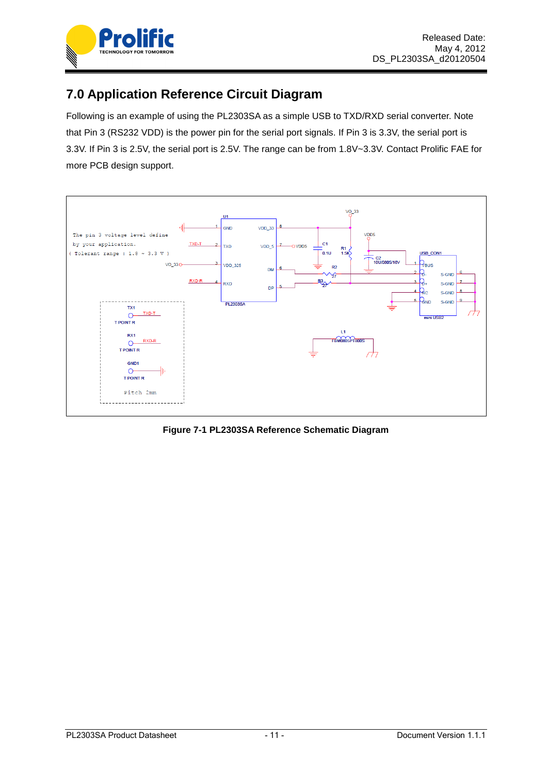

# <span id="page-10-0"></span>**7.0 Application Reference Circuit Diagram**

Following is an example of using the PL2303SA as a simple USB to TXD/RXD serial converter. Note that Pin 3 (RS232 VDD) is the power pin for the serial port signals. If Pin 3 is 3.3V, the serial port is 3.3V. If Pin 3 is 2.5V, the serial port is 2.5V. The range can be from 1.8V~3.3V. Contact Prolific FAE for more PCB design support.



<span id="page-10-1"></span>**Figure 7-1 PL2303SA Reference Schematic Diagram**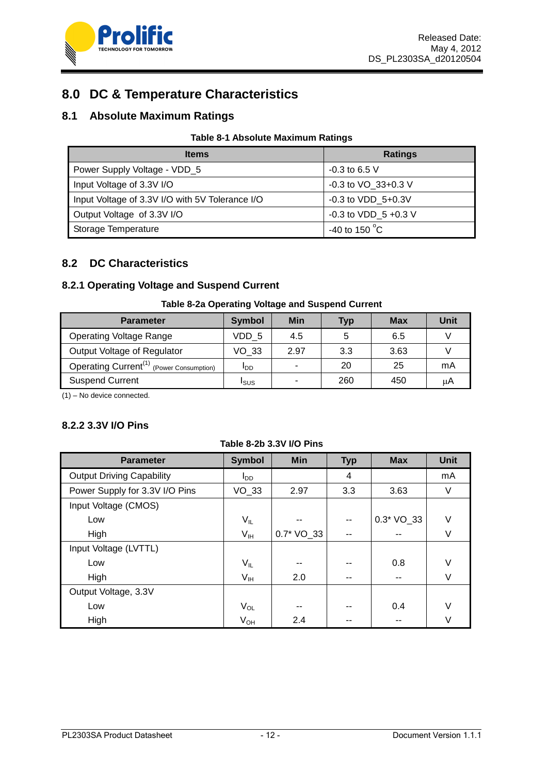

# <span id="page-11-0"></span>**8.0 DC & Temperature Characteristics**

### <span id="page-11-1"></span>**8.1 Absolute Maximum Ratings**

#### **Table 8-1 Absolute Maximum Ratings**

<span id="page-11-3"></span>

| <b>Items</b>                                    | <b>Ratings</b>          |
|-------------------------------------------------|-------------------------|
| Power Supply Voltage - VDD_5                    | $-0.3$ to 6.5 V         |
| Input Voltage of 3.3V I/O                       | $-0.3$ to VO $33+0.3$ V |
| Input Voltage of 3.3V I/O with 5V Tolerance I/O | $-0.3$ to VDD $5+0.3V$  |
| Output Voltage of 3.3V I/O                      | -0.3 to VDD $5 +0.3$ V  |
| Storage Temperature                             | -40 to 150 $^{\circ}$ C |

### <span id="page-11-2"></span>**8.2 DC Characteristics**

#### **8.2.1 Operating Voltage and Suspend Current**

#### **Table 8-2a Operating Voltage and Suspend Current**

<span id="page-11-4"></span>

| <b>Parameter</b>                                     | <b>Symbol</b>          | Min  | Typ | <b>Max</b> | Unit |
|------------------------------------------------------|------------------------|------|-----|------------|------|
| <b>Operating Voltage Range</b>                       | VDD 5                  | 4.5  | 5   | 6.5        |      |
| Output Voltage of Regulator                          | VO 33                  | 2.97 | 3.3 | 3.63       |      |
| Operating Current <sup>(1)</sup> (Power Consumption) | <b>I</b> <sub>DD</sub> |      | 20  | 25         | mA   |
| <b>Suspend Current</b>                               | Isus                   |      | 260 | 450        | μA   |

(1) – No device connected.

#### **8.2.2 3.3V I/O Pins**

#### **Table 8-2b 3.3V I/O Pins**

<span id="page-11-5"></span>

| <b>Parameter</b>                 | <b>Symbol</b>              | <b>Min</b> | <b>Typ</b> | <b>Max</b>  | <b>Unit</b> |
|----------------------------------|----------------------------|------------|------------|-------------|-------------|
| <b>Output Driving Capability</b> | l <sub>DD</sub>            |            | 4          |             | mA          |
| Power Supply for 3.3V I/O Pins   | $VO_33$                    | 2.97       | 3.3        | 3.63        | V           |
| Input Voltage (CMOS)             |                            |            |            |             |             |
| Low                              | $V_{IL}$                   | --         | --         | $0.3*VO_33$ | V           |
| High                             | $V_{IH}$                   | 0.7* VO_33 | --         |             | ٧           |
| Input Voltage (LVTTL)            |                            |            |            |             |             |
| Low                              | $V_{IL}$                   | --         | --         | 0.8         | V           |
| High                             | $\mathsf{V}_{\mathsf{IH}}$ | 2.0        | --         | --          | V           |
| Output Voltage, 3.3V             |                            |            |            |             |             |
| Low                              | $V_{OL}$                   | --         | --         | 0.4         | V           |
| High                             | $V_{OH}$                   | 2.4        | --         |             | V           |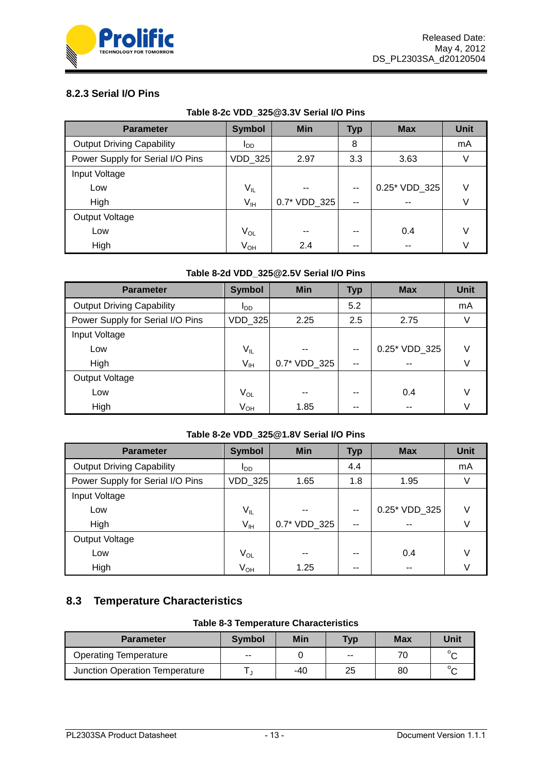

#### **8.2.3 Serial I/O Pins**

| Table 8-2c VDD_325@3.3V Serial I/O Pins |  |  |  |
|-----------------------------------------|--|--|--|
|-----------------------------------------|--|--|--|

<span id="page-12-1"></span>

| <b>Parameter</b>                 | <b>Symbol</b>          | Min          | <b>Typ</b> | <b>Max</b>    | <b>Unit</b> |
|----------------------------------|------------------------|--------------|------------|---------------|-------------|
| <b>Output Driving Capability</b> | <b>I</b> <sub>DD</sub> |              | 8          |               | mA          |
| Power Supply for Serial I/O Pins | VDD_325                | 2.97         | 3.3        | 3.63          |             |
| Input Voltage                    |                        |              |            |               |             |
| Low                              | $V_{IL}$               | --           | $-$        | 0.25* VDD 325 | $\vee$      |
| High                             | $V_{IH}$               | 0.7* VDD_325 | $- -$      | --            |             |
| Output Voltage                   |                        |              |            |               |             |
| Low                              | $V_{OL}$               | $- -$        | --         | 0.4           |             |
| High                             | $V_{OH}$               | 2.4          | --         | --            |             |

#### **Table 8-2d VDD\_325@2.5V Serial I/O Pins**

<span id="page-12-2"></span>

| <b>Parameter</b>                 | <b>Symbol</b>              | <b>Min</b>   | <b>Typ</b>    | <b>Max</b>    | <b>Unit</b> |
|----------------------------------|----------------------------|--------------|---------------|---------------|-------------|
| <b>Output Driving Capability</b> | <b>I</b> <sub>DD</sub>     |              | 5.2           |               | mA          |
| Power Supply for Serial I/O Pins | VDD_325                    | 2.25         | 2.5           | 2.75          |             |
| Input Voltage                    |                            |              |               |               |             |
| Low                              | $V_{IL}$                   | --           | $- -$         | 0.25* VDD 325 | V           |
| High                             | $V_{\rm IH}$               | 0.7* VDD_325 | $\sim$ $\sim$ | --            |             |
| Output Voltage                   |                            |              |               |               |             |
| Low                              | $\mathsf{V}_{\mathsf{OL}}$ | --           | --            | 0.4           |             |
| High                             | V <sub>OH</sub>            | 1.85         | $- -$         | --            |             |

#### **Table 8-2e VDD\_325@1.8V Serial I/O Pins**

<span id="page-12-3"></span>

| <b>Parameter</b>                 | <b>Symbol</b>          | <b>Min</b>   | <b>Typ</b>    | <b>Max</b>    | <b>Unit</b> |
|----------------------------------|------------------------|--------------|---------------|---------------|-------------|
| <b>Output Driving Capability</b> | <b>I</b> <sub>DD</sub> |              | 4.4           |               | mA          |
| Power Supply for Serial I/O Pins | VDD_325                | 1.65         | 1.8           | 1.95          |             |
| Input Voltage                    |                        |              |               |               |             |
| Low                              | $V_{IL}$               |              | $- -$         | 0.25* VDD_325 | V           |
| High                             | $V_{IH}$               | 0.7* VDD_325 | $\sim$ $\sim$ |               |             |
| Output Voltage                   |                        |              |               |               |             |
| Low                              | $V_{OL}$               | --           | --            | 0.4           | V           |
| High                             | V <sub>OH</sub>        | 1.25         | --            |               |             |

### <span id="page-12-0"></span>**8.3 Temperature Characteristics**

#### **Table 8-3 Temperature Characteristics**

<span id="page-12-4"></span>

| <b>Parameter</b>               | <b>Symbol</b> | Min | <b>Typ</b> | <b>Max</b> | Unit       |
|--------------------------------|---------------|-----|------------|------------|------------|
| <b>Operating Temperature</b>   | $- -$         |     | $- -$      |            | $\circ$    |
| Junction Operation Temperature |               | -40 | 25         | 80         | $^{\circ}$ |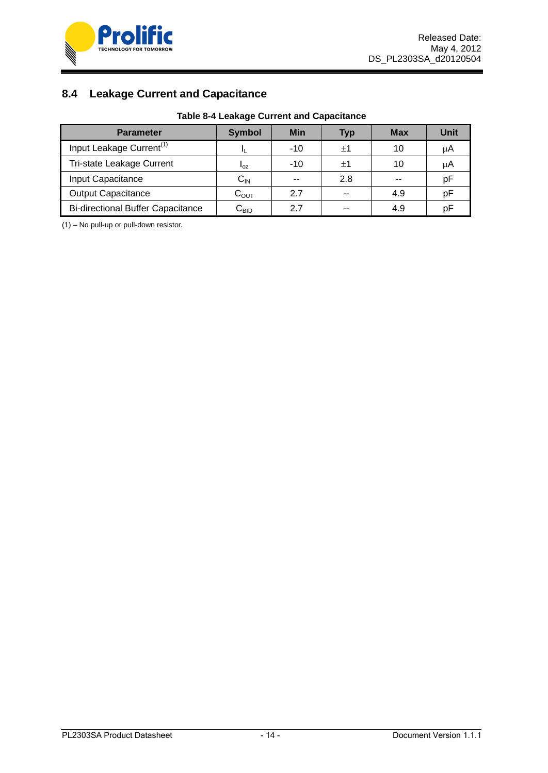

## <span id="page-13-0"></span>**8.4 Leakage Current and Capacitance**

| <b>Table 8-4 Leakage Current and Capacitance</b> |  |
|--------------------------------------------------|--|
|--------------------------------------------------|--|

<span id="page-13-1"></span>

| <b>Parameter</b>                         | <b>Symbol</b>              | <b>Min</b> | <b>Typ</b> | <b>Max</b> | Unit |
|------------------------------------------|----------------------------|------------|------------|------------|------|
| Input Leakage Current <sup>(1)</sup>     |                            | $-10$      | $+1$       | 10         | μA   |
| Tri-state Leakage Current                | $I_{OZ}$                   | $-10$      | $+1$       | 10         | μA   |
| Input Capacitance                        | $\mathsf{C}_{\mathsf{IN}}$ | $- -$      | 2.8        | --         | рF   |
| <b>Output Capacitance</b>                | $C_{OUT}$                  | 2.7        | --         | 4.9        | рF   |
| <b>Bi-directional Buffer Capacitance</b> | ∪bid                       | 27         | --         | 4.9        | рF   |

(1) – No pull-up or pull-down resistor.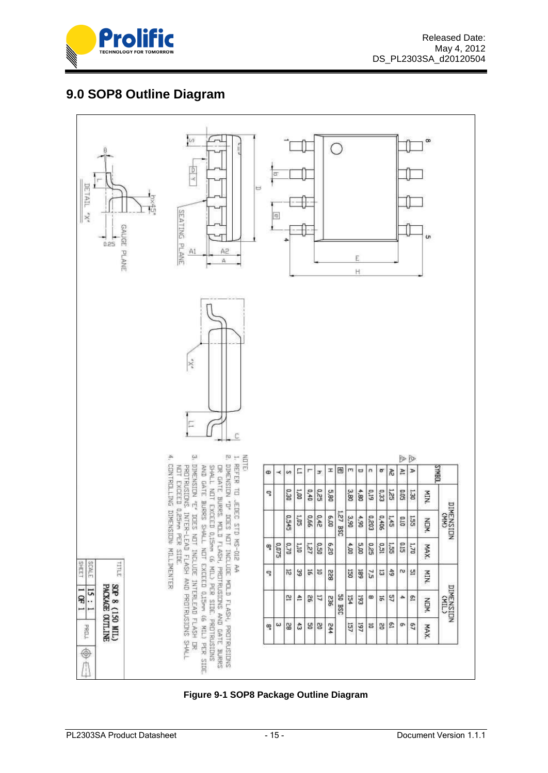

# <span id="page-14-0"></span>**9.0 SOP8 Outline Diagram**



#### <span id="page-14-1"></span>**Figure 9-1 SOP8 Package Outline Diagram**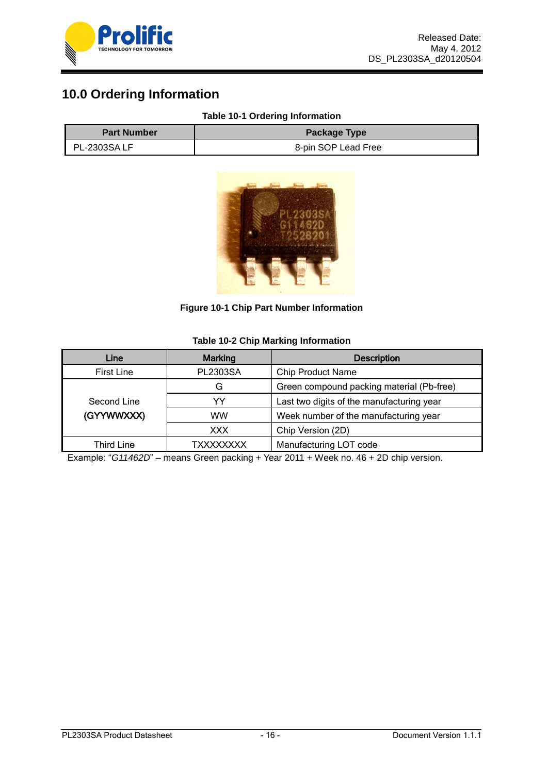

# <span id="page-15-0"></span>**10.0 Ordering Information**

#### **Table 10-1 Ordering Information**

<span id="page-15-2"></span>

| <b>Part Number</b>  | <b>Package Type</b> |
|---------------------|---------------------|
| <b>PL-2303SA LF</b> | 8-pin SOP Lead Free |



**Figure 10-1 Chip Part Number Information**

#### **Table 10-2 Chip Marking Information**

<span id="page-15-3"></span><span id="page-15-1"></span>

| Line              | <b>Marking</b>  | <b>Description</b>                        |
|-------------------|-----------------|-------------------------------------------|
| <b>First Line</b> | <b>PL2303SA</b> | <b>Chip Product Name</b>                  |
|                   | G               | Green compound packing material (Pb-free) |
| Second Line       | YY              | Last two digits of the manufacturing year |
| (GYYWWXXX)        | ww              | Week number of the manufacturing year     |
|                   | <b>XXX</b>      | Chip Version (2D)                         |
| <b>Third Line</b> | TXXXXXXXX       | Manufacturing LOT code                    |

Example: "*G11462D*" – means Green packing + Year 2011 + Week no. 46 + 2D chip version.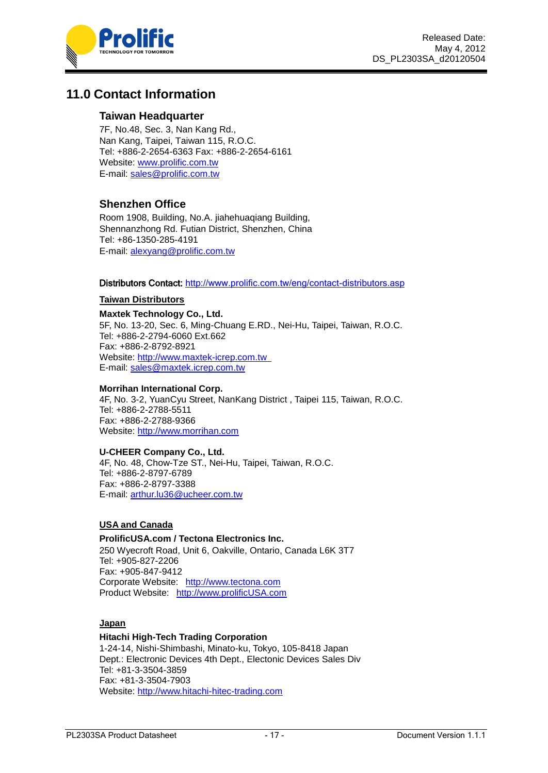

## <span id="page-16-0"></span>**11.0 Contact Information**

#### **Taiwan Headquarter**

7F, No.48, Sec. 3, Nan Kang Rd., Nan Kang, Taipei, Taiwan 115, R.O.C. Tel: +886-2-2654-6363 Fax: +886-2-2654-6161 Website: [www.prolific.com.tw](http://www.prolific.com.tw/)  E-mail: [sales@prolific.com.tw](mailto:sales@prolific.com.tw)

#### **Shenzhen Office**

Room 1908, Building, No.A. jiahehuaqiang Building, Shennanzhong Rd. Futian District, Shenzhen, China Tel: +86-1350-285-4191 E-mail: [alexyang@prolific.com.tw](mailto:alexyang@prolific.com.tw)

#### Distributors Contact: <http://www.prolific.com.tw/eng/contact-distributors.asp>

#### **Taiwan Distributors**

**Maxtek Technology Co., Ltd.** 5F, No. 13-20, Sec. 6, Ming-Chuang E.RD., Nei-Hu, Taipei, Taiwan, R.O.C. Tel: +886-2-2794-6060 Ext.662 Fax: +886-2-8792-8921 Website: [http://www.maxtek-icrep.com.tw](http://www.maxtek-icrep.com.tw/)  E-mail: [sales@maxtek.icrep.com.tw](mailto:sales@maxtek.icrep.com.tw)

#### **Morrihan International Corp.**

4F, No. 3-2, YuanCyu Street, NanKang District , Taipei 115, Taiwan, R.O.C. Tel: +886-2-2788-5511 Fax: +886-2-2788-9366 Website: [http://www.morrihan.com](http://www.morrihan.com/)

#### **U-CHEER Company Co., Ltd.**

4F, No. 48, Chow-Tze ST., Nei-Hu, Taipei, Taiwan, R.O.C. Tel: +886-2-8797-6789 Fax: +886-2-8797-3388 E-mail: [arthur.lu36@ucheer.com.tw](mailto:arthur.lu36@ucheer.com.tw)

#### **USA and Canada**

#### **ProlificUSA.com / Tectona Electronics Inc.**

250 Wyecroft Road, Unit 6, Oakville, Ontario, Canada L6K 3T7 Tel: +905-827-2206 Fax: +905-847-9412 Corporate Website: [http://www.tectona.com](http://www.tectona.com/) Product Website: [http://www.prolificUSA.com](http://www.prolificusa.com/)

#### **Japan**

#### **Hitachi High-Tech Trading Corporation**

1-24-14, Nishi-Shimbashi, Minato-ku, Tokyo, 105-8418 Japan Dept.: Electronic Devices 4th Dept., Electonic Devices Sales Div Tel: +81-3-3504-3859 Fax: +81-3-3504-7903 Website: [http://www.hitachi-hitec-trading.com](http://www.hitachi-hitec.com/)